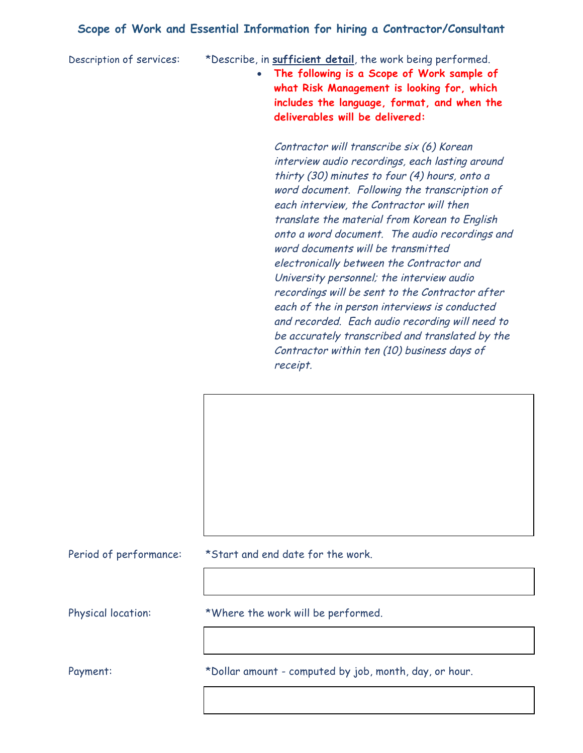## **Scope of Work and Essential Information for hiring a Contractor/Consultant**

Description of services: \*Describe, in **sufficient detail**, the work being performed.

• **The following is a Scope of Work sample of what Risk Management is looking for, which includes the language, format, and when the deliverables will be delivered:**

Contractor will transcribe six (6) Korean interview audio recordings, each lasting around thirty (30) minutes to four (4) hours, onto a word document. Following the transcription of each interview, the Contractor will then translate the material from Korean to English onto a word document. The audio recordings and word documents will be transmitted electronically between the Contractor and University personnel; the interview audio recordings will be sent to the Contractor after each of the in person interviews is conducted and recorded. Each audio recording will need to be accurately transcribed and translated by the Contractor within ten (10) business days of receipt.

Period of performance: \*Start and end date for the work.

Physical location: \*Where the work will be performed.

Payment: \* bollar amount - computed by job, month, day, or hour.